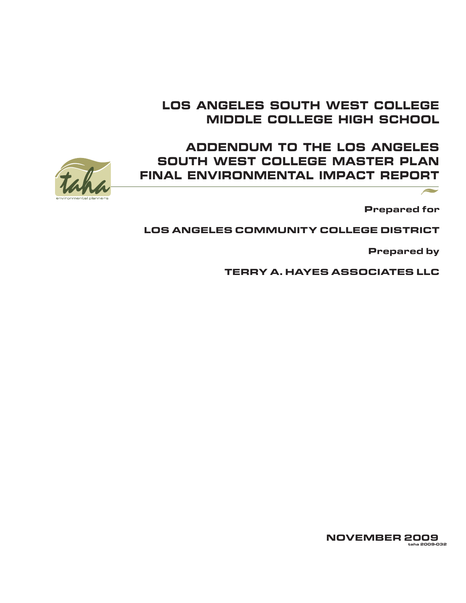## LOS ANGELES SOUTH WEST COLLEGE MIDDLE COLLEGE HIGH SCHOOL

## ADDENDUM TO THE LOS ANGELES SOUTH WEST COLLEGE MASTER PLAN FINAL ENVIRONMENTAL IMPACT REPORT



Prepared for

 $\sqrt{2}$ 

## LOS ANGELES COMMUNITY COLLEGE DISTRICT

Prepared by

TERRY A. HAYES ASSOCIATES LLC

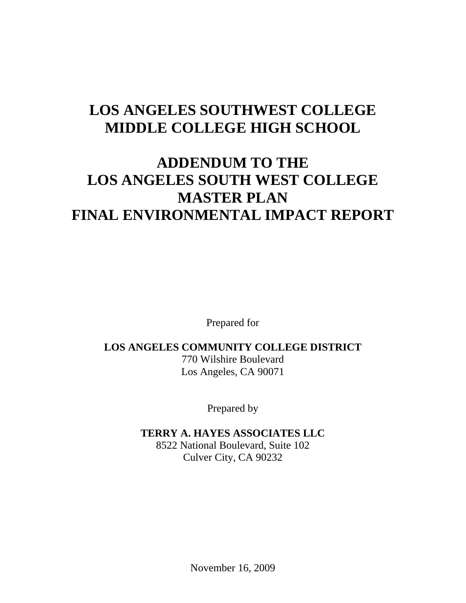## **LOS ANGELES SOUTHWEST COLLEGE MIDDLE COLLEGE HIGH SCHOOL**

# **ADDENDUM TO THE LOS ANGELES SOUTH WEST COLLEGE MASTER PLAN FINAL ENVIRONMENTAL IMPACT REPORT**

Prepared for

## **LOS ANGELES COMMUNITY COLLEGE DISTRICT** 770 Wilshire Boulevard

Los Angeles, CA 90071

Prepared by

## **TERRY A. HAYES ASSOCIATES LLC**

8522 National Boulevard, Suite 102 Culver City, CA 90232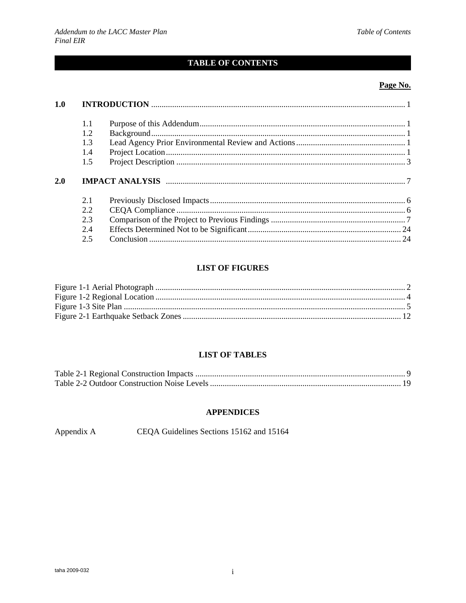## **TABLE OF CONTENTS**

#### Page No.

| 1.0 |     |  |  |
|-----|-----|--|--|
|     | 1.1 |  |  |
|     | 1.2 |  |  |
|     | 1.3 |  |  |
|     | 1.4 |  |  |
|     | 1.5 |  |  |
| 2.0 |     |  |  |
|     | 2.1 |  |  |
|     | 2.2 |  |  |
|     | 2.3 |  |  |
|     | 2.4 |  |  |
|     | 2.5 |  |  |

#### **LIST OF FIGURES**

#### **LIST OF TABLES**

#### **APPENDICES**

Appendix A CEQA Guidelines Sections 15162 and 15164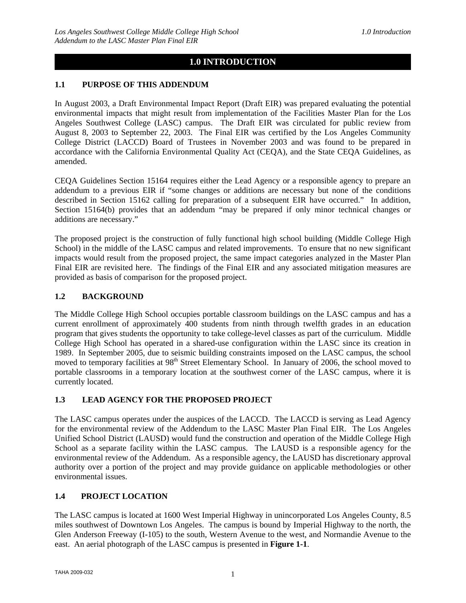## **1.0 INTRODUCTION**

#### **1.1 PURPOSE OF THIS ADDENDUM**

In August 2003, a Draft Environmental Impact Report (Draft EIR) was prepared evaluating the potential environmental impacts that might result from implementation of the Facilities Master Plan for the Los Angeles Southwest College (LASC) campus. The Draft EIR was circulated for public review from August 8, 2003 to September 22, 2003. The Final EIR was certified by the Los Angeles Community College District (LACCD) Board of Trustees in November 2003 and was found to be prepared in accordance with the California Environmental Quality Act (CEQA), and the State CEQA Guidelines, as amended.

CEQA Guidelines Section 15164 requires either the Lead Agency or a responsible agency to prepare an addendum to a previous EIR if "some changes or additions are necessary but none of the conditions described in Section 15162 calling for preparation of a subsequent EIR have occurred." In addition, Section 15164(b) provides that an addendum "may be prepared if only minor technical changes or additions are necessary."

The proposed project is the construction of fully functional high school building (Middle College High School) in the middle of the LASC campus and related improvements. To ensure that no new significant impacts would result from the proposed project, the same impact categories analyzed in the Master Plan Final EIR are revisited here. The findings of the Final EIR and any associated mitigation measures are provided as basis of comparison for the proposed project.

#### **1.2 BACKGROUND**

The Middle College High School occupies portable classroom buildings on the LASC campus and has a current enrollment of approximately 400 students from ninth through twelfth grades in an education program that gives students the opportunity to take college-level classes as part of the curriculum. Middle College High School has operated in a shared-use configuration within the LASC since its creation in 1989. In September 2005, due to seismic building constraints imposed on the LASC campus, the school moved to temporary facilities at 98<sup>th</sup> Street Elementary School. In January of 2006, the school moved to portable classrooms in a temporary location at the southwest corner of the LASC campus, where it is currently located.

#### **1.3 LEAD AGENCY FOR THE PROPOSED PROJECT**

The LASC campus operates under the auspices of the LACCD. The LACCD is serving as Lead Agency for the environmental review of the Addendum to the LASC Master Plan Final EIR. The Los Angeles Unified School District (LAUSD) would fund the construction and operation of the Middle College High School as a separate facility within the LASC campus. The LAUSD is a responsible agency for the environmental review of the Addendum. As a responsible agency, the LAUSD has discretionary approval authority over a portion of the project and may provide guidance on applicable methodologies or other environmental issues.

#### **1.4 PROJECT LOCATION**

The LASC campus is located at 1600 West Imperial Highway in unincorporated Los Angeles County, 8.5 miles southwest of Downtown Los Angeles. The campus is bound by Imperial Highway to the north, the Glen Anderson Freeway (I-105) to the south, Western Avenue to the west, and Normandie Avenue to the east. An aerial photograph of the LASC campus is presented in **Figure 1-1**.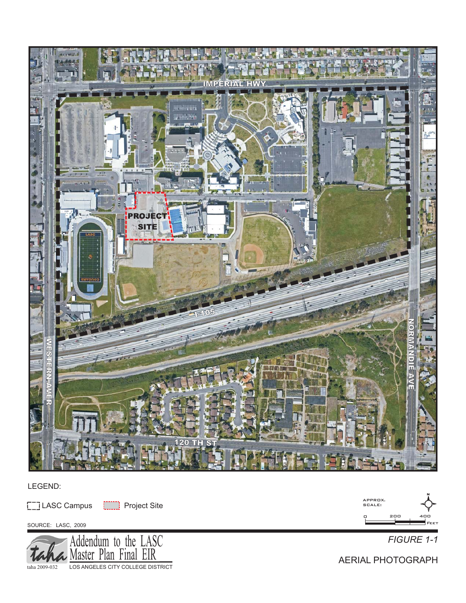

#### LEGEND:

[11] LASC Campus [111] Project Site

SOURCE: LASC, 2009





AERIAL PHOTOGRAPH

N

400 Feet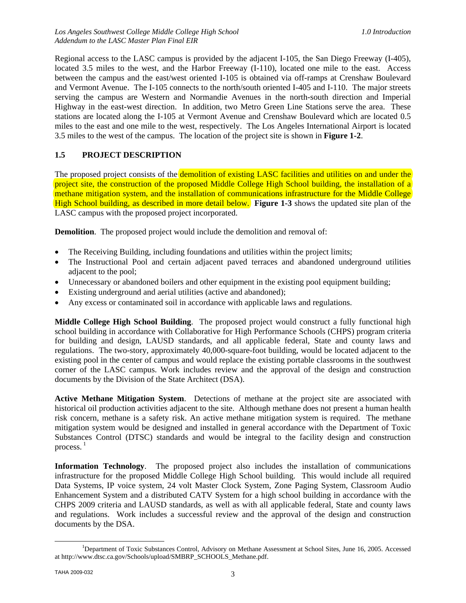Regional access to the LASC campus is provided by the adjacent I-105, the San Diego Freeway (I-405), located 3.5 miles to the west, and the Harbor Freeway (I-110), located one mile to the east. Access between the campus and the east/west oriented I-105 is obtained via off-ramps at Crenshaw Boulevard and Vermont Avenue. The I-105 connects to the north/south oriented I-405 and I-110. The major streets serving the campus are Western and Normandie Avenues in the north-south direction and Imperial Highway in the east-west direction. In addition, two Metro Green Line Stations serve the area. These stations are located along the I-105 at Vermont Avenue and Crenshaw Boulevard which are located 0.5 miles to the east and one mile to the west, respectively. The Los Angeles International Airport is located 3.5 miles to the west of the campus. The location of the project site is shown in **Figure 1-2**.

#### **1.5 PROJECT DESCRIPTION**

The proposed project consists of the demolition of existing LASC facilities and utilities on and under the project site, the construction of the proposed Middle College High School building, the installation of a methane mitigation system, and the installation of communications infrastructure for the Middle College High School building, as described in more detail below. **Figure 1-3** shows the updated site plan of the LASC campus with the proposed project incorporated.

**Demolition**. The proposed project would include the demolition and removal of:

- The Receiving Building, including foundations and utilities within the project limits;
- The Instructional Pool and certain adjacent paved terraces and abandoned underground utilities adjacent to the pool;
- Unnecessary or abandoned boilers and other equipment in the existing pool equipment building;
- Existing underground and aerial utilities (active and abandoned);
- Any excess or contaminated soil in accordance with applicable laws and regulations.

**Middle College High School Building**. The proposed project would construct a fully functional high school building in accordance with Collaborative for High Performance Schools (CHPS) program criteria for building and design, LAUSD standards, and all applicable federal, State and county laws and regulations. The two-story, approximately 40,000-square-foot building, would be located adjacent to the existing pool in the center of campus and would replace the existing portable classrooms in the southwest corner of the LASC campus. Work includes review and the approval of the design and construction documents by the Division of the State Architect (DSA).

**Active Methane Mitigation System**. Detections of methane at the project site are associated with historical oil production activities adjacent to the site. Although methane does not present a human health risk concern, methane is a safety risk. An active methane mitigation system is required. The methane mitigation system would be designed and installed in general accordance with the Department of Toxic Substances Control (DTSC) standards and would be integral to the facility design and construction process. $<sup>1</sup>$ </sup>

**Information Technology**. The proposed project also includes the installation of communications infrastructure for the proposed Middle College High School building. This would include all required Data Systems, IP voice system, 24 volt Master Clock System, Zone Paging System, Classroom Audio Enhancement System and a distributed CATV System for a high school building in accordance with the CHPS 2009 criteria and LAUSD standards, as well as with all applicable federal, State and county laws and regulations. Work includes a successful review and the approval of the design and construction documents by the DSA.

<sup>&</sup>lt;u>1</u> <sup>1</sup>Department of Toxic Substances Control, Advisory on Methane Assessment at School Sites, June 16, 2005. Accessed at http://www.dtsc.ca.gov/Schools/upload/SMBRP\_SCHOOLS\_Methane.pdf.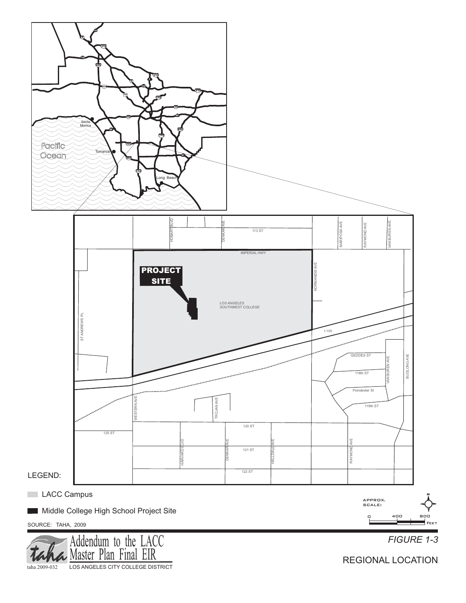

taha 2009-032 LOS ANGELES CITY COLLEGE DISTRICT

REGIONAL LOCATION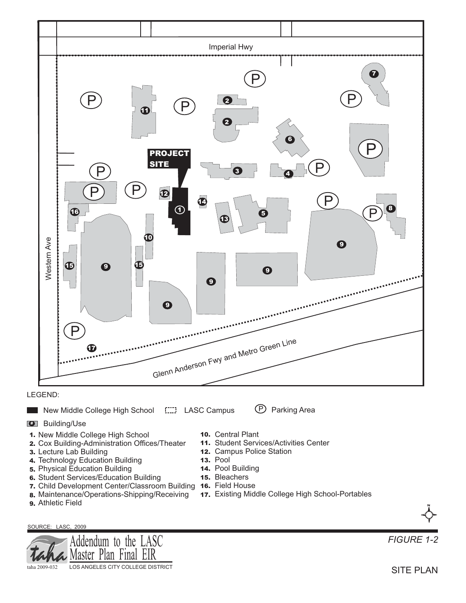

#### LEGEND:

#### New Middle College High School LASC Campus (P) Parking Area

*#* Building/Use

- *1.* New Middle College High School
- 2. Cox Building-Administration Offices/Theater
- *3.* Lecture Lab Building
- *4.* Technology Education Building
- *5.* Physical Education Building
- *6.* Student Services/Education Building
- 7. Child Development Center/Classroom Building 16. Field House
- *8.* Maintenance/Operations-Shipping/Receiving *9.* Athletic Field
- 

#### SOURCE: LASC, 2009



- 10. Central Plant
- 11. Student Services/Activities Center
- 12. Campus Police Station
- **13. Pool**
- 14. Pool Building
- **15.** Bleachers
- 
- Existing Middle College High School-Portables *17.*



*FIGURE 1-2*

SITE PLAN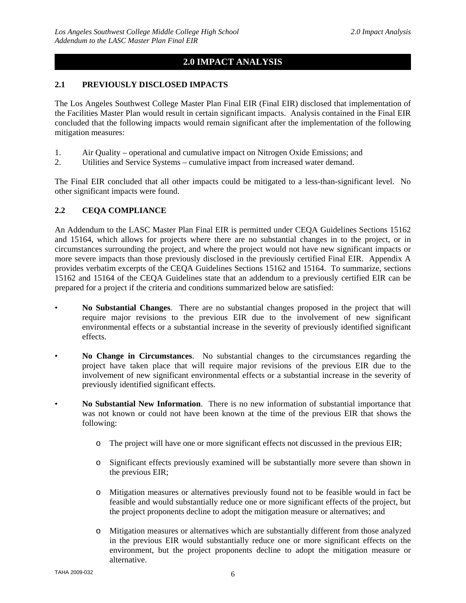## **2.0 IMPACT ANALYSIS**

#### **2.1 PREVIOUSLY DISCLOSED IMPACTS**

The Los Angeles Southwest College Master Plan Final EIR (Final EIR) disclosed that implementation of the Facilities Master Plan would result in certain significant impacts. Analysis contained in the Final EIR concluded that the following impacts would remain significant after the implementation of the following mitigation measures:

- 1. Air Quality operational and cumulative impact on Nitrogen Oxide Emissions; and
- 2. Utilities and Service Systems cumulative impact from increased water demand.

The Final EIR concluded that all other impacts could be mitigated to a less-than-significant level. No other significant impacts were found.

#### **2.2 CEQA COMPLIANCE**

An Addendum to the LASC Master Plan Final EIR is permitted under CEQA Guidelines Sections 15162 and 15164, which allows for projects where there are no substantial changes in to the project, or in circumstances surrounding the project, and where the project would not have new significant impacts or more severe impacts than those previously disclosed in the previously certified Final EIR. Appendix A provides verbatim excerpts of the CEQA Guidelines Sections 15162 and 15164. To summarize, sections 15162 and 15164 of the CEQA Guidelines state that an addendum to a previously certified EIR can be prepared for a project if the criteria and conditions summarized below are satisfied:

- **No Substantial Changes**. There are no substantial changes proposed in the project that will require major revisions to the previous EIR due to the involvement of new significant environmental effects or a substantial increase in the severity of previously identified significant effects.
- **No Change in Circumstances**. No substantial changes to the circumstances regarding the project have taken place that will require major revisions of the previous EIR due to the involvement of new significant environmental effects or a substantial increase in the severity of previously identified significant effects.
- **No Substantial New Information**. There is no new information of substantial importance that was not known or could not have been known at the time of the previous EIR that shows the following:
	- o The project will have one or more significant effects not discussed in the previous EIR;
	- o Significant effects previously examined will be substantially more severe than shown in the previous EIR;
	- o Mitigation measures or alternatives previously found not to be feasible would in fact be feasible and would substantially reduce one or more significant effects of the project, but the project proponents decline to adopt the mitigation measure or alternatives; and
	- o Mitigation measures or alternatives which are substantially different from those analyzed in the previous EIR would substantially reduce one or more significant effects on the environment, but the project proponents decline to adopt the mitigation measure or alternative.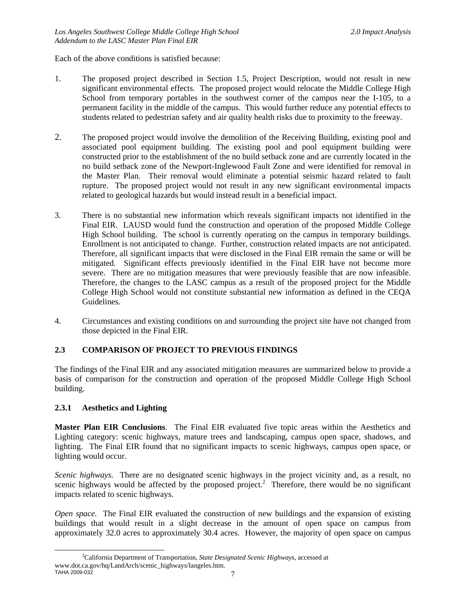Each of the above conditions is satisfied because:

- 1. The proposed project described in Section 1.5, Project Description, would not result in new significant environmental effects. The proposed project would relocate the Middle College High School from temporary portables in the southwest corner of the campus near the I-105, to a permanent facility in the middle of the campus. This would further reduce any potential effects to students related to pedestrian safety and air quality health risks due to proximity to the freeway.
- 2. The proposed project would involve the demolition of the Receiving Building, existing pool and associated pool equipment building. The existing pool and pool equipment building were constructed prior to the establishment of the no build setback zone and are currently located in the no build setback zone of the Newport-Inglewood Fault Zone and were identified for removal in the Master Plan. Their removal would eliminate a potential seismic hazard related to fault rupture. The proposed project would not result in any new significant environmental impacts related to geological hazards but would instead result in a beneficial impact.
- 3. There is no substantial new information which reveals significant impacts not identified in the Final EIR. LAUSD would fund the construction and operation of the proposed Middle College High School building. The school is currently operating on the campus in temporary buildings. Enrollment is not anticipated to change. Further, construction related impacts are not anticipated. Therefore, all significant impacts that were disclosed in the Final EIR remain the same or will be mitigated. Significant effects previously identified in the Final EIR have not become more severe. There are no mitigation measures that were previously feasible that are now infeasible. Therefore, the changes to the LASC campus as a result of the proposed project for the Middle College High School would not constitute substantial new information as defined in the CEQA Guidelines.
- 4. Circumstances and existing conditions on and surrounding the project site have not changed from those depicted in the Final EIR.

### **2.3 COMPARISON OF PROJECT TO PREVIOUS FINDINGS**

The findings of the Final EIR and any associated mitigation measures are summarized below to provide a basis of comparison for the construction and operation of the proposed Middle College High School building.

#### **2.3.1 Aesthetics and Lighting**

**Master Plan EIR Conclusions**. The Final EIR evaluated five topic areas within the Aesthetics and Lighting category: scenic highways, mature trees and landscaping, campus open space, shadows, and lighting. The Final EIR found that no significant impacts to scenic highways, campus open space, or lighting would occur.

*Scenic highways.* There are no designated scenic highways in the project vicinity and, as a result, no scenic highways would be affected by the proposed project.<sup>2</sup> Therefore, there would be no significant impacts related to scenic highways.

*Open space.* The Final EIR evaluated the construction of new buildings and the expansion of existing buildings that would result in a slight decrease in the amount of open space on campus from approximately 32.0 acres to approximately 30.4 acres. However, the majority of open space on campus

TAHA 2009-032  $\overline{7}$  $\overline{\phantom{a}}$ California Department of Transportation, *State Designated Scenic Highways*, accessed at www.dot.ca.gov/hq/LandArch/scenic\_highways/langeles.htm.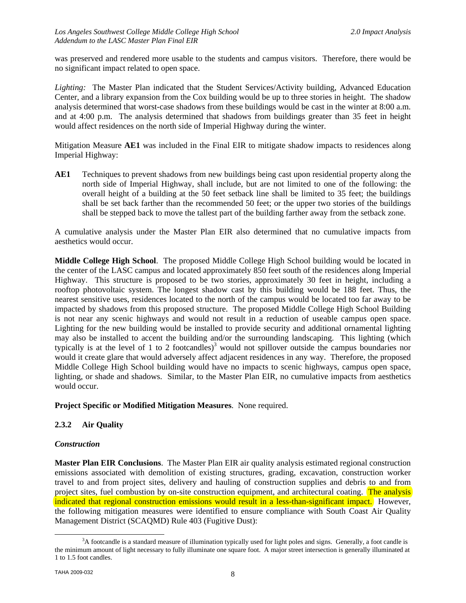was preserved and rendered more usable to the students and campus visitors. Therefore, there would be no significant impact related to open space.

*Lighting:* The Master Plan indicated that the Student Services/Activity building, Advanced Education Center, and a library expansion from the Cox building would be up to three stories in height. The shadow analysis determined that worst-case shadows from these buildings would be cast in the winter at 8:00 a.m. and at 4:00 p.m. The analysis determined that shadows from buildings greater than 35 feet in height would affect residences on the north side of Imperial Highway during the winter.

Mitigation Measure **AE1** was included in the Final EIR to mitigate shadow impacts to residences along Imperial Highway:

**AE1** Techniques to prevent shadows from new buildings being cast upon residential property along the north side of Imperial Highway, shall include, but are not limited to one of the following: the overall height of a building at the 50 feet setback line shall be limited to 35 feet; the buildings shall be set back farther than the recommended 50 feet; or the upper two stories of the buildings shall be stepped back to move the tallest part of the building farther away from the setback zone.

A cumulative analysis under the Master Plan EIR also determined that no cumulative impacts from aesthetics would occur.

**Middle College High School**. The proposed Middle College High School building would be located in the center of the LASC campus and located approximately 850 feet south of the residences along Imperial Highway. This structure is proposed to be two stories, approximately 30 feet in height, including a rooftop photovoltaic system. The longest shadow cast by this building would be 188 feet. Thus, the nearest sensitive uses, residences located to the north of the campus would be located too far away to be impacted by shadows from this proposed structure. The proposed Middle College High School Building is not near any scenic highways and would not result in a reduction of useable campus open space. Lighting for the new building would be installed to provide security and additional ornamental lighting may also be installed to accent the building and/or the surrounding landscaping. This lighting (which typically is at the level of 1 to 2 footcandles)<sup>3</sup> would not spillover outside the campus boundaries nor would it create glare that would adversely affect adjacent residences in any way. Therefore, the proposed Middle College High School building would have no impacts to scenic highways, campus open space, lighting, or shade and shadows. Similar, to the Master Plan EIR, no cumulative impacts from aesthetics would occur.

**Project Specific or Modified Mitigation Measures**. None required.

#### **2.3.2 Air Quality**

#### *Construction*

**Master Plan EIR Conclusions**. The Master Plan EIR air quality analysis estimated regional construction emissions associated with demolition of existing structures, grading, excavation, construction worker travel to and from project sites, delivery and hauling of construction supplies and debris to and from project sites, fuel combustion by on-site construction equipment, and architectural coating. The analysis indicated that regional construction emissions would result in a less-than-significant impact. However, the following mitigation measures were identified to ensure compliance with South Coast Air Quality Management District (SCAQMD) Rule 403 (Fugitive Dust):

 <sup>3</sup>  ${}^{3}$ A footcandle is a standard measure of illumination typically used for light poles and signs. Generally, a foot candle is the minimum amount of light necessary to fully illuminate one square foot. A major street intersection is generally illuminated at 1 to 1.5 foot candles.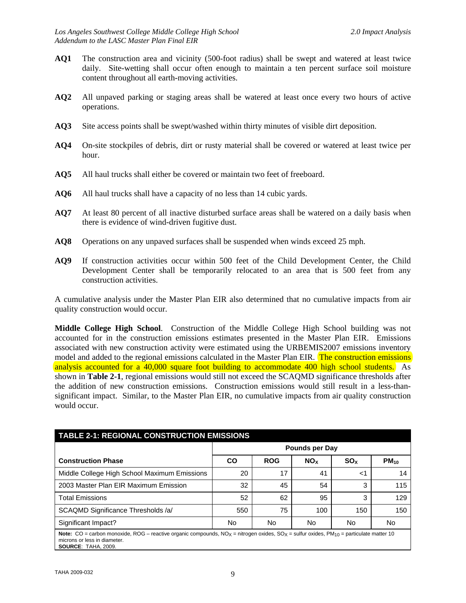- **AQ1** The construction area and vicinity (500-foot radius) shall be swept and watered at least twice daily. Site-wetting shall occur often enough to maintain a ten percent surface soil moisture content throughout all earth-moving activities.
- **AQ2** All unpaved parking or staging areas shall be watered at least once every two hours of active operations.
- **AQ3** Site access points shall be swept/washed within thirty minutes of visible dirt deposition.
- **AQ4** On-site stockpiles of debris, dirt or rusty material shall be covered or watered at least twice per hour.
- **AQ5** All haul trucks shall either be covered or maintain two feet of freeboard.
- **AQ6** All haul trucks shall have a capacity of no less than 14 cubic yards.
- **AQ7** At least 80 percent of all inactive disturbed surface areas shall be watered on a daily basis when there is evidence of wind-driven fugitive dust.
- **AQ8** Operations on any unpaved surfaces shall be suspended when winds exceed 25 mph.
- **AQ9** If construction activities occur within 500 feet of the Child Development Center, the Child Development Center shall be temporarily relocated to an area that is 500 feet from any construction activities.

A cumulative analysis under the Master Plan EIR also determined that no cumulative impacts from air quality construction would occur.

**Middle College High School**. Construction of the Middle College High School building was not accounted for in the construction emissions estimates presented in the Master Plan EIR. Emissions associated with new construction activity were estimated using the URBEMIS2007 emissions inventory model and added to the regional emissions calculated in the Master Plan EIR. The construction emissions analysis accounted for a 40,000 square foot building to accommodate 400 high school students. As shown in **Table 2-1**, regional emissions would still not exceed the SCAQMD significance thresholds after the addition of new construction emissions. Construction emissions would still result in a less-thansignificant impact. Similar, to the Master Plan EIR, no cumulative impacts from air quality construction would occur.

| <b>TABLE 2-1: REGIONAL CONSTRUCTION EMISSIONS</b>                                                                                                                                                                                        |                       |            |                       |                       |           |  |  |  |
|------------------------------------------------------------------------------------------------------------------------------------------------------------------------------------------------------------------------------------------|-----------------------|------------|-----------------------|-----------------------|-----------|--|--|--|
|                                                                                                                                                                                                                                          | <b>Pounds per Day</b> |            |                       |                       |           |  |  |  |
| <b>Construction Phase</b>                                                                                                                                                                                                                | CO                    | <b>ROG</b> | <b>NO<sub>x</sub></b> | <b>SO<sub>x</sub></b> | $PM_{10}$ |  |  |  |
| Middle College High School Maximum Emissions                                                                                                                                                                                             | 20                    | 17         | 41                    | ا>                    | 14        |  |  |  |
| 2003 Master Plan EIR Maximum Emission                                                                                                                                                                                                    | 32                    | 45         | 54                    | 3                     | 115       |  |  |  |
| <b>Total Emissions</b>                                                                                                                                                                                                                   | 52                    | 62         | 95                    | 3                     | 129       |  |  |  |
| SCAQMD Significance Thresholds /a/                                                                                                                                                                                                       | 550                   | 75         | 100                   | 150                   | 150       |  |  |  |
| Significant Impact?                                                                                                                                                                                                                      | No                    | No         | No                    | No                    | No        |  |  |  |
| Note: CO = carbon monoxide, ROG – reactive organic compounds, NO <sub>X</sub> = nitrogen oxides, SO <sub>X</sub> = sulfur oxides, PM <sub>10</sub> = particulate matter 10<br>microns or less in diameter.<br><b>SOURCE: TAHA, 2009.</b> |                       |            |                       |                       |           |  |  |  |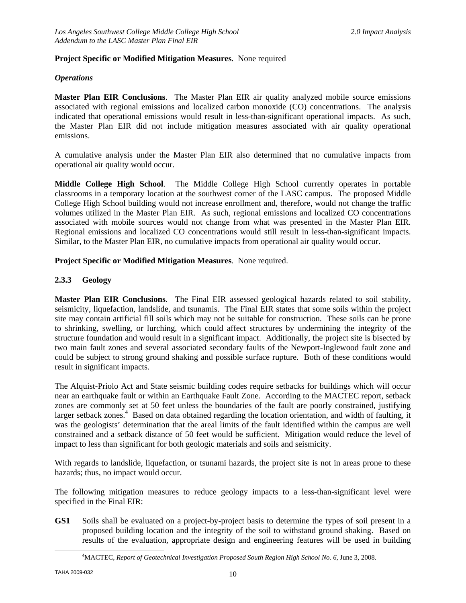#### **Project Specific or Modified Mitigation Measures**. None required

#### *Operations*

**Master Plan EIR Conclusions**. The Master Plan EIR air quality analyzed mobile source emissions associated with regional emissions and localized carbon monoxide (CO) concentrations. The analysis indicated that operational emissions would result in less-than-significant operational impacts. As such, the Master Plan EIR did not include mitigation measures associated with air quality operational emissions.

A cumulative analysis under the Master Plan EIR also determined that no cumulative impacts from operational air quality would occur.

**Middle College High School**. The Middle College High School currently operates in portable classrooms in a temporary location at the southwest corner of the LASC campus. The proposed Middle College High School building would not increase enrollment and, therefore, would not change the traffic volumes utilized in the Master Plan EIR. As such, regional emissions and localized CO concentrations associated with mobile sources would not change from what was presented in the Master Plan EIR. Regional emissions and localized CO concentrations would still result in less-than-significant impacts. Similar, to the Master Plan EIR, no cumulative impacts from operational air quality would occur.

**Project Specific or Modified Mitigation Measures**. None required.

#### **2.3.3 Geology**

**Master Plan EIR Conclusions**. The Final EIR assessed geological hazards related to soil stability, seismicity, liquefaction, landslide, and tsunamis. The Final EIR states that some soils within the project site may contain artificial fill soils which may not be suitable for construction. These soils can be prone to shrinking, swelling, or lurching, which could affect structures by undermining the integrity of the structure foundation and would result in a significant impact. Additionally, the project site is bisected by two main fault zones and several associated secondary faults of the Newport-Inglewood fault zone and could be subject to strong ground shaking and possible surface rupture. Both of these conditions would result in significant impacts.

The Alquist-Priolo Act and State seismic building codes require setbacks for buildings which will occur near an earthquake fault or within an Earthquake Fault Zone. According to the MACTEC report, setback zones are commonly set at 50 feet unless the boundaries of the fault are poorly constrained, justifying larger setback zones.<sup>4</sup> Based on data obtained regarding the location orientation, and width of faulting, it was the geologists' determination that the areal limits of the fault identified within the campus are well constrained and a setback distance of 50 feet would be sufficient. Mitigation would reduce the level of impact to less than significant for both geologic materials and soils and seismicity.

With regards to landslide, liquefaction, or tsunami hazards, the project site is not in areas prone to these hazards; thus, no impact would occur.

The following mitigation measures to reduce geology impacts to a less-than-significant level were specified in the Final EIR:

**GS1** Soils shall be evaluated on a project-by-project basis to determine the types of soil present in a proposed building location and the integrity of the soil to withstand ground shaking. Based on results of the evaluation, appropriate design and engineering features will be used in building

 <sup>4</sup> MACTEC, *Report of Geotechnical Investigation Proposed South Region High School No. 6*, June 3, 2008.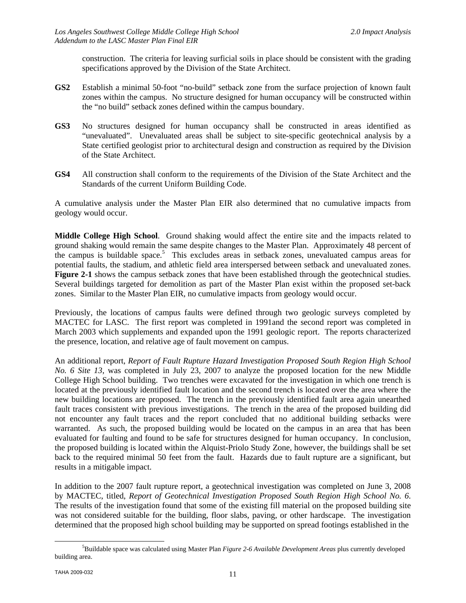construction. The criteria for leaving surficial soils in place should be consistent with the grading specifications approved by the Division of the State Architect.

- **GS2** Establish a minimal 50-foot "no-build" setback zone from the surface projection of known fault zones within the campus. No structure designed for human occupancy will be constructed within the "no build" setback zones defined within the campus boundary.
- **GS3** No structures designed for human occupancy shall be constructed in areas identified as "unevaluated". Unevaluated areas shall be subject to site-specific geotechnical analysis by a State certified geologist prior to architectural design and construction as required by the Division of the State Architect.
- **GS4** All construction shall conform to the requirements of the Division of the State Architect and the Standards of the current Uniform Building Code.

A cumulative analysis under the Master Plan EIR also determined that no cumulative impacts from geology would occur.

**Middle College High School**. Ground shaking would affect the entire site and the impacts related to ground shaking would remain the same despite changes to the Master Plan. Approximately 48 percent of the campus is buildable space.<sup>5</sup> This excludes areas in setback zones, unevaluated campus areas for potential faults, the stadium, and athletic field area interspersed between setback and unevaluated zones. **Figure 2-1** shows the campus setback zones that have been established through the geotechnical studies. Several buildings targeted for demolition as part of the Master Plan exist within the proposed set-back zones. Similar to the Master Plan EIR, no cumulative impacts from geology would occur.

Previously, the locations of campus faults were defined through two geologic surveys completed by MACTEC for LASC. The first report was completed in 1991and the second report was completed in March 2003 which supplements and expanded upon the 1991 geologic report. The reports characterized the presence, location, and relative age of fault movement on campus.

An additional report, *Report of Fault Rupture Hazard Investigation Proposed South Region High School No. 6 Site 13*, was completed in July 23, 2007 to analyze the proposed location for the new Middle College High School building. Two trenches were excavated for the investigation in which one trench is located at the previously identified fault location and the second trench is located over the area where the new building locations are proposed. The trench in the previously identified fault area again unearthed fault traces consistent with previous investigations. The trench in the area of the proposed building did not encounter any fault traces and the report concluded that no additional building setbacks were warranted. As such, the proposed building would be located on the campus in an area that has been evaluated for faulting and found to be safe for structures designed for human occupancy. In conclusion, the proposed building is located within the Alquist-Priolo Study Zone, however, the buildings shall be set back to the required minimal 50 feet from the fault. Hazards due to fault rupture are a significant, but results in a mitigable impact.

In addition to the 2007 fault rupture report, a geotechnical investigation was completed on June 3, 2008 by MACTEC, titled, *Report of Geotechnical Investigation Proposed South Region High School No. 6*. The results of the investigation found that some of the existing fill material on the proposed building site was not considered suitable for the building, floor slabs, paving, or other hardscape. The investigation determined that the proposed high school building may be supported on spread footings established in the

 $\frac{1}{5}$ Buildable space was calculated using Master Plan *Figure 2-6 Available Development Areas* plus currently developed building area.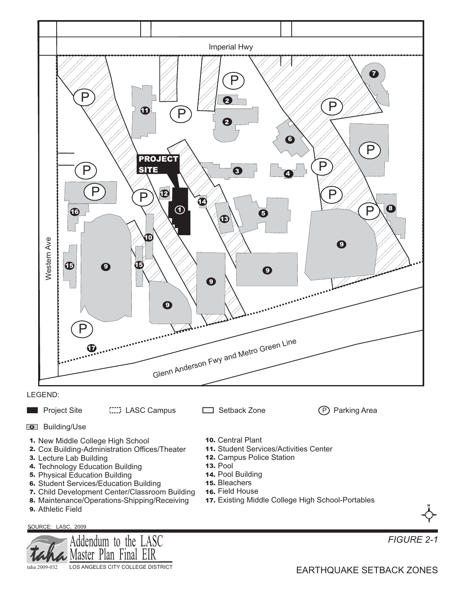



*FIGURE 2-1*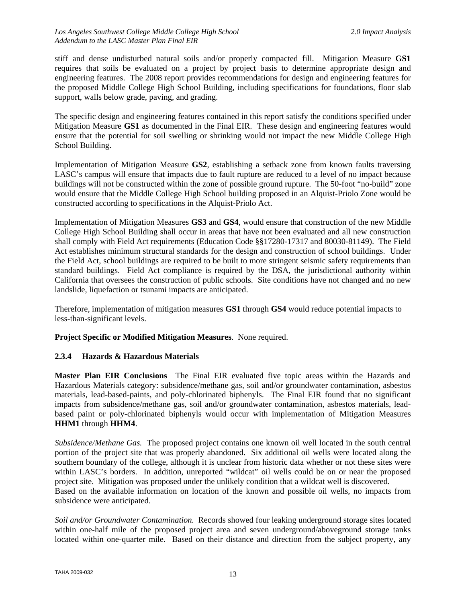stiff and dense undisturbed natural soils and/or properly compacted fill. Mitigation Measure **GS1** requires that soils be evaluated on a project by project basis to determine appropriate design and engineering features. The 2008 report provides recommendations for design and engineering features for the proposed Middle College High School Building, including specifications for foundations, floor slab support, walls below grade, paving, and grading.

The specific design and engineering features contained in this report satisfy the conditions specified under Mitigation Measure **GS1** as documented in the Final EIR. These design and engineering features would ensure that the potential for soil swelling or shrinking would not impact the new Middle College High School Building.

Implementation of Mitigation Measure **GS2**, establishing a setback zone from known faults traversing LASC's campus will ensure that impacts due to fault rupture are reduced to a level of no impact because buildings will not be constructed within the zone of possible ground rupture. The 50-foot "no-build" zone would ensure that the Middle College High School building proposed in an Alquist-Priolo Zone would be constructed according to specifications in the Alquist-Priolo Act.

Implementation of Mitigation Measures **GS3** and **GS4**, would ensure that construction of the new Middle College High School Building shall occur in areas that have not been evaluated and all new construction shall comply with Field Act requirements (Education Code §§17280-17317 and 80030-81149). The Field Act establishes minimum structural standards for the design and construction of school buildings. Under the Field Act, school buildings are required to be built to more stringent seismic safety requirements than standard buildings. Field Act compliance is required by the DSA, the jurisdictional authority within California that oversees the construction of public schools. Site conditions have not changed and no new landslide, liquefaction or tsunami impacts are anticipated.

Therefore, implementation of mitigation measures **GS1** through **GS4** would reduce potential impacts to less-than-significant levels.

**Project Specific or Modified Mitigation Measures**. None required.

#### **2.3.4 Hazards & Hazardous Materials**

**Master Plan EIR Conclusions** The Final EIR evaluated five topic areas within the Hazards and Hazardous Materials category: subsidence/methane gas, soil and/or groundwater contamination, asbestos materials, lead-based-paints, and poly-chlorinated biphenyls. The Final EIR found that no significant impacts from subsidence/methane gas, soil and/or groundwater contamination, asbestos materials, leadbased paint or poly-chlorinated biphenyls would occur with implementation of Mitigation Measures **HHM1** through **HHM4**.

*Subsidence/Methane Gas.* The proposed project contains one known oil well located in the south central portion of the project site that was properly abandoned. Six additional oil wells were located along the southern boundary of the college, although it is unclear from historic data whether or not these sites were within LASC's borders. In addition, unreported "wildcat" oil wells could be on or near the proposed project site. Mitigation was proposed under the unlikely condition that a wildcat well is discovered. Based on the available information on location of the known and possible oil wells, no impacts from subsidence were anticipated.

*Soil and/or Groundwater Contamination.* Records showed four leaking underground storage sites located within one-half mile of the proposed project area and seven underground/aboveground storage tanks located within one-quarter mile. Based on their distance and direction from the subject property, any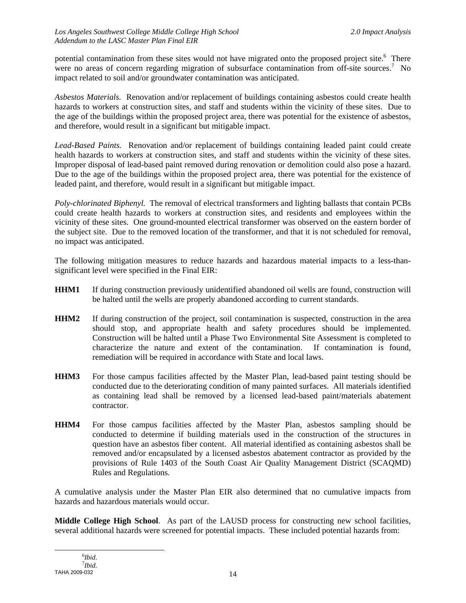potential contamination from these sites would not have migrated onto the proposed project site.<sup>6</sup> There were no areas of concern regarding migration of subsurface contamination from off-site sources.<sup>7</sup> No impact related to soil and/or groundwater contamination was anticipated.

*Asbestos Materials.* Renovation and/or replacement of buildings containing asbestos could create health hazards to workers at construction sites, and staff and students within the vicinity of these sites. Due to the age of the buildings within the proposed project area, there was potential for the existence of asbestos, and therefore, would result in a significant but mitigable impact.

*Lead-Based Paints.* Renovation and/or replacement of buildings containing leaded paint could create health hazards to workers at construction sites, and staff and students within the vicinity of these sites. Improper disposal of lead-based paint removed during renovation or demolition could also pose a hazard. Due to the age of the buildings within the proposed project area, there was potential for the existence of leaded paint, and therefore, would result in a significant but mitigable impact.

*Poly-chlorinated Biphenyl.* The removal of electrical transformers and lighting ballasts that contain PCBs could create health hazards to workers at construction sites, and residents and employees within the vicinity of these sites. One ground-mounted electrical transformer was observed on the eastern border of the subject site. Due to the removed location of the transformer, and that it is not scheduled for removal, no impact was anticipated.

The following mitigation measures to reduce hazards and hazardous material impacts to a less-thansignificant level were specified in the Final EIR:

- **HHM1** If during construction previously unidentified abandoned oil wells are found, construction will be halted until the wells are properly abandoned according to current standards.
- **HHM2** If during construction of the project, soil contamination is suspected, construction in the area should stop, and appropriate health and safety procedures should be implemented. Construction will be halted until a Phase Two Environmental Site Assessment is completed to characterize the nature and extent of the contamination. If contamination is found, remediation will be required in accordance with State and local laws.
- **HHM3** For those campus facilities affected by the Master Plan, lead-based paint testing should be conducted due to the deteriorating condition of many painted surfaces. All materials identified as containing lead shall be removed by a licensed lead-based paint/materials abatement contractor.
- **HHM4** For those campus facilities affected by the Master Plan, asbestos sampling should be conducted to determine if building materials used in the construction of the structures in question have an asbestos fiber content. All material identified as containing asbestos shall be removed and/or encapsulated by a licensed asbestos abatement contractor as provided by the provisions of Rule 1403 of the South Coast Air Quality Management District (SCAQMD) Rules and Regulations.

A cumulative analysis under the Master Plan EIR also determined that no cumulative impacts from hazards and hazardous materials would occur.

**Middle College High School**. As part of the LAUSD process for constructing new school facilities, several additional hazards were screened for potential impacts. These included potential hazards from: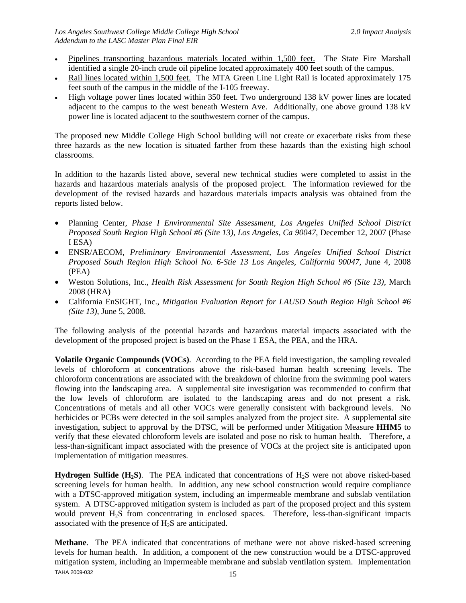- Pipelines transporting hazardous materials located within 1,500 feet. The State Fire Marshall identified a single 20-inch crude oil pipeline located approximately 400 feet south of the campus.
- Rail lines located within 1,500 feet. The MTA Green Line Light Rail is located approximately 175 feet south of the campus in the middle of the I-105 freeway.
- High voltage power lines located within 350 feet. Two underground 138 kV power lines are located adjacent to the campus to the west beneath Western Ave. Additionally, one above ground 138 kV power line is located adjacent to the southwestern corner of the campus.

The proposed new Middle College High School building will not create or exacerbate risks from these three hazards as the new location is situated farther from these hazards than the existing high school classrooms.

In addition to the hazards listed above, several new technical studies were completed to assist in the hazards and hazardous materials analysis of the proposed project. The information reviewed for the development of the revised hazards and hazardous materials impacts analysis was obtained from the reports listed below.

- Planning Center, *Phase I Environmental Site Assessment, Los Angeles Unified School District Proposed South Region High School #6 (Site 13), Los Angeles, Ca 90047*, December 12, 2007 (Phase I ESA)
- ENSR/AECOM*, Preliminary Environmental Assessment, Los Angeles Unified School District Proposed South Region High School No. 6-Stie 13 Los Angeles, California 90047*, June 4, 2008 (PEA)
- Weston Solutions, Inc., *Health Risk Assessment for South Region High School #6 (Site 13)*, March 2008 (HRA)
- California EnSIGHT, Inc., *Mitigation Evaluation Report for LAUSD South Region High School #6 (Site 13)*, June 5, 2008.

The following analysis of the potential hazards and hazardous material impacts associated with the development of the proposed project is based on the Phase 1 ESA, the PEA, and the HRA.

**Volatile Organic Compounds (VOCs)**.According to the PEA field investigation, the sampling revealed levels of chloroform at concentrations above the risk-based human health screening levels. The chloroform concentrations are associated with the breakdown of chlorine from the swimming pool waters flowing into the landscaping area. A supplemental site investigation was recommended to confirm that the low levels of chloroform are isolated to the landscaping areas and do not present a risk. Concentrations of metals and all other VOCs were generally consistent with background levels. No herbicides or PCBs were detected in the soil samples analyzed from the project site. A supplemental site investigation, subject to approval by the DTSC, will be performed under Mitigation Measure **HHM5** to verify that these elevated chloroform levels are isolated and pose no risk to human health. Therefore, a less-than-significant impact associated with the presence of VOCs at the project site is anticipated upon implementation of mitigation measures.

**Hydrogen Sulfide (H<sub>2</sub>S)**. The PEA indicated that concentrations of H<sub>2</sub>S were not above risked-based screening levels for human health. In addition, any new school construction would require compliance with a DTSC-approved mitigation system, including an impermeable membrane and subslab ventilation system. A DTSC-approved mitigation system is included as part of the proposed project and this system would prevent  $H_2S$  from concentrating in enclosed spaces. Therefore, less-than-significant impacts associated with the presence of  $H_2S$  are anticipated.

TAHA 2009-032 15 **Methane**. The PEA indicated that concentrations of methane were not above risked-based screening levels for human health. In addition, a component of the new construction would be a DTSC-approved mitigation system, including an impermeable membrane and subslab ventilation system. Implementation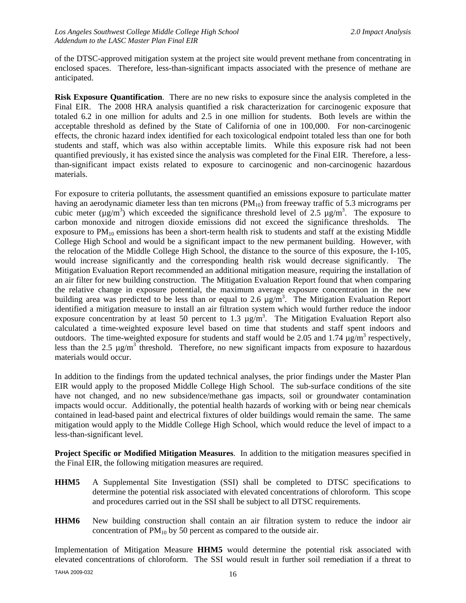of the DTSC-approved mitigation system at the project site would prevent methane from concentrating in enclosed spaces. Therefore, less-than-significant impacts associated with the presence of methane are anticipated.

**Risk Exposure Quantification**. There are no new risks to exposure since the analysis completed in the Final EIR. The 2008 HRA analysis quantified a risk characterization for carcinogenic exposure that totaled 6.2 in one million for adults and 2.5 in one million for students. Both levels are within the acceptable threshold as defined by the State of California of one in 100,000. For non-carcinogenic effects, the chronic hazard index identified for each toxicological endpoint totaled less than one for both students and staff, which was also within acceptable limits. While this exposure risk had not been quantified previously, it has existed since the analysis was completed for the Final EIR. Therefore, a lessthan-significant impact exists related to exposure to carcinogenic and non-carcinogenic hazardous materials.

For exposure to criteria pollutants, the assessment quantified an emissions exposure to particulate matter having an aerodynamic diameter less than ten microns  $(PM_{10})$  from freeway traffic of 5.3 micrograms per cubic meter ( $\mu$ g/m<sup>3</sup>) which exceeded the significance threshold level of 2.5  $\mu$ g/m<sup>3</sup>. The exposure to carbon monoxide and nitrogen dioxide emissions did not exceed the significance thresholds. The exposure to  $PM_{10}$  emissions has been a short-term health risk to students and staff at the existing Middle College High School and would be a significant impact to the new permanent building. However, with the relocation of the Middle College High School, the distance to the source of this exposure, the I-105, would increase significantly and the corresponding health risk would decrease significantly. The Mitigation Evaluation Report recommended an additional mitigation measure, requiring the installation of an air filter for new building construction. The Mitigation Evaluation Report found that when comparing the relative change in exposure potential, the maximum average exposure concentration in the new building area was predicted to be less than or equal to 2.6  $\mu$ g/m<sup>3</sup>. The Mitigation Evaluation Report identified a mitigation measure to install an air filtration system which would further reduce the indoor exposure concentration by at least 50 percent to 1.3  $\mu$ g/m<sup>3</sup>. The Mitigation Evaluation Report also calculated a time-weighted exposure level based on time that students and staff spent indoors and outdoors. The time-weighted exposure for students and staff would be 2.05 and 1.74  $\mu$ g/m<sup>3</sup> respectively, less than the 2.5  $\mu$ g/m<sup>3</sup> threshold. Therefore, no new significant impacts from exposure to hazardous materials would occur.

In addition to the findings from the updated technical analyses, the prior findings under the Master Plan EIR would apply to the proposed Middle College High School. The sub-surface conditions of the site have not changed, and no new subsidence/methane gas impacts, soil or groundwater contamination impacts would occur. Additionally, the potential health hazards of working with or being near chemicals contained in lead-based paint and electrical fixtures of older buildings would remain the same. The same mitigation would apply to the Middle College High School, which would reduce the level of impact to a less-than-significant level.

**Project Specific or Modified Mitigation Measures**. In addition to the mitigation measures specified in the Final EIR, the following mitigation measures are required.

- **HHM5** A Supplemental Site Investigation (SSI) shall be completed to DTSC specifications to determine the potential risk associated with elevated concentrations of chloroform. This scope and procedures carried out in the SSI shall be subject to all DTSC requirements.
- **HHM6** New building construction shall contain an air filtration system to reduce the indoor air concentration of  $PM_{10}$  by 50 percent as compared to the outside air.

Implementation of Mitigation Measure **HHM5** would determine the potential risk associated with elevated concentrations of chloroform. The SSI would result in further soil remediation if a threat to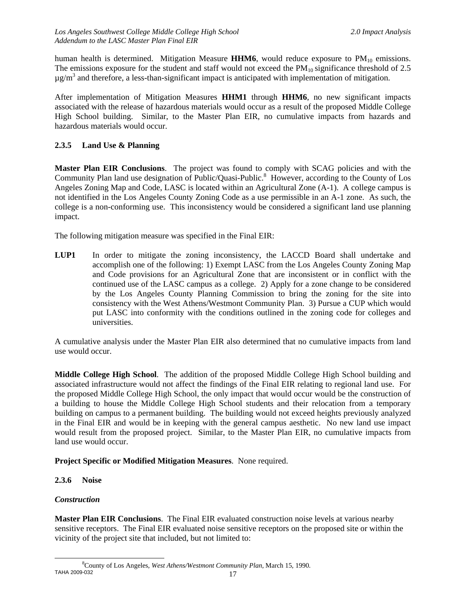human health is determined. Mitigation Measure HHM6, would reduce exposure to PM<sub>10</sub> emissions. The emissions exposure for the student and staff would not exceed the  $PM_{10}$  significance threshold of 2.5  $\mu$ g/m<sup>3</sup> and therefore, a less-than-significant impact is anticipated with implementation of mitigation.

After implementation of Mitigation Measures **HHM1** through **HHM6**, no new significant impacts associated with the release of hazardous materials would occur as a result of the proposed Middle College High School building. Similar, to the Master Plan EIR, no cumulative impacts from hazards and hazardous materials would occur.

#### **2.3.5 Land Use & Planning**

**Master Plan EIR Conclusions**. The project was found to comply with SCAG policies and with the Community Plan land use designation of Public/Quasi-Public.<sup>8</sup> However, according to the County of Los Angeles Zoning Map and Code, LASC is located within an Agricultural Zone (A-1). A college campus is not identified in the Los Angeles County Zoning Code as a use permissible in an A-1 zone. As such, the college is a non-conforming use. This inconsistency would be considered a significant land use planning impact.

The following mitigation measure was specified in the Final EIR:

**LUP1** In order to mitigate the zoning inconsistency, the LACCD Board shall undertake and accomplish one of the following: 1) Exempt LASC from the Los Angeles County Zoning Map and Code provisions for an Agricultural Zone that are inconsistent or in conflict with the continued use of the LASC campus as a college. 2) Apply for a zone change to be considered by the Los Angeles County Planning Commission to bring the zoning for the site into consistency with the West Athens/Westmont Community Plan. 3) Pursue a CUP which would put LASC into conformity with the conditions outlined in the zoning code for colleges and universities.

A cumulative analysis under the Master Plan EIR also determined that no cumulative impacts from land use would occur.

**Middle College High School**. The addition of the proposed Middle College High School building and associated infrastructure would not affect the findings of the Final EIR relating to regional land use. For the proposed Middle College High School, the only impact that would occur would be the construction of a building to house the Middle College High School students and their relocation from a temporary building on campus to a permanent building. The building would not exceed heights previously analyzed in the Final EIR and would be in keeping with the general campus aesthetic. No new land use impact would result from the proposed project. Similar, to the Master Plan EIR, no cumulative impacts from land use would occur.

#### **Project Specific or Modified Mitigation Measures**. None required.

#### **2.3.6 Noise**

#### *Construction*

**Master Plan EIR Conclusions**. The Final EIR evaluated construction noise levels at various nearby sensitive receptors. The Final EIR evaluated noise sensitive receptors on the proposed site or within the vicinity of the project site that included, but not limited to:

TAHA 2009-032 17 8 County of Los Angeles, *West Athens/Westmont Community Plan*, March 15, 1990.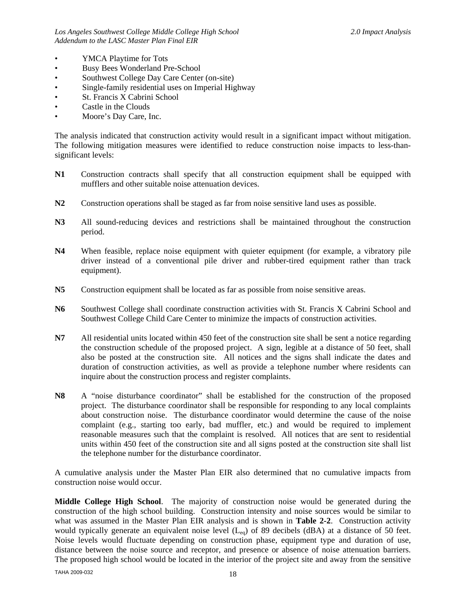- YMCA Playtime for Tots
- Busy Bees Wonderland Pre-School
- Southwest College Day Care Center (on-site)
- Single-family residential uses on Imperial Highway
- St. Francis X Cabrini School
- Castle in the Clouds
- Moore's Day Care, Inc.

The analysis indicated that construction activity would result in a significant impact without mitigation. The following mitigation measures were identified to reduce construction noise impacts to less-thansignificant levels:

- **N1** Construction contracts shall specify that all construction equipment shall be equipped with mufflers and other suitable noise attenuation devices.
- **N2** Construction operations shall be staged as far from noise sensitive land uses as possible.
- **N3** All sound-reducing devices and restrictions shall be maintained throughout the construction period.
- **N4** When feasible, replace noise equipment with quieter equipment (for example, a vibratory pile driver instead of a conventional pile driver and rubber-tired equipment rather than track equipment).
- **N5** Construction equipment shall be located as far as possible from noise sensitive areas.
- N6 Southwest College shall coordinate construction activities with St. Francis X Cabrini School and Southwest College Child Care Center to minimize the impacts of construction activities.
- **N7** All residential units located within 450 feet of the construction site shall be sent a notice regarding the construction schedule of the proposed project. A sign, legible at a distance of 50 feet, shall also be posted at the construction site. All notices and the signs shall indicate the dates and duration of construction activities, as well as provide a telephone number where residents can inquire about the construction process and register complaints.
- **N8** A "noise disturbance coordinator" shall be established for the construction of the proposed project. The disturbance coordinator shall be responsible for responding to any local complaints about construction noise. The disturbance coordinator would determine the cause of the noise complaint (e.g., starting too early, bad muffler, etc.) and would be required to implement reasonable measures such that the complaint is resolved. All notices that are sent to residential units within 450 feet of the construction site and all signs posted at the construction site shall list the telephone number for the disturbance coordinator.

A cumulative analysis under the Master Plan EIR also determined that no cumulative impacts from construction noise would occur.

**Middle College High School**. The majority of construction noise would be generated during the construction of the high school building. Construction intensity and noise sources would be similar to what was assumed in the Master Plan EIR analysis and is shown in **Table 2-2**. Construction activity would typically generate an equivalent noise level  $(L_{eq})$  of 89 decibels (dBA) at a distance of 50 feet. Noise levels would fluctuate depending on construction phase, equipment type and duration of use, distance between the noise source and receptor, and presence or absence of noise attenuation barriers. The proposed high school would be located in the interior of the project site and away from the sensitive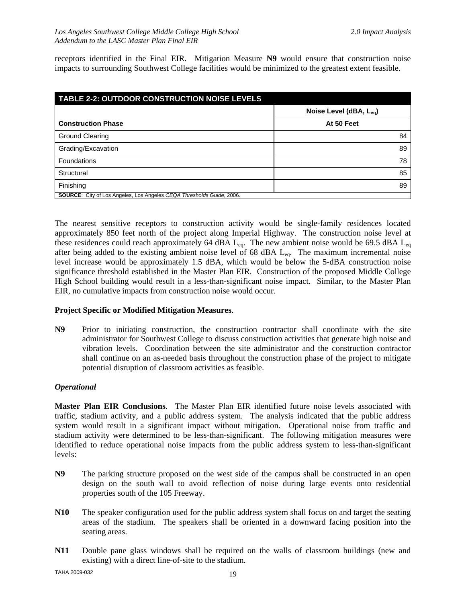receptors identified in the Final EIR. Mitigation Measure **N9** would ensure that construction noise impacts to surrounding Southwest College facilities would be minimized to the greatest extent feasible.

| <b>TABLE 2-2: OUTDOOR CONSTRUCTION NOISE LEVELS</b>                          |                        |  |  |  |  |  |
|------------------------------------------------------------------------------|------------------------|--|--|--|--|--|
|                                                                              | Noise Level (dBA, Lea) |  |  |  |  |  |
| <b>Construction Phase</b>                                                    | At 50 Feet             |  |  |  |  |  |
| Ground Clearing                                                              | 84                     |  |  |  |  |  |
| Grading/Excavation                                                           | 89                     |  |  |  |  |  |
| <b>Foundations</b>                                                           | 78                     |  |  |  |  |  |
| Structural                                                                   | 85                     |  |  |  |  |  |
| Finishing                                                                    | 89                     |  |  |  |  |  |
| <b>SOURCE:</b> City of Los Angeles, Los Angeles CEQA Thresholds Guide, 2006. |                        |  |  |  |  |  |

The nearest sensitive receptors to construction activity would be single-family residences located approximately 850 feet north of the project along Imperial Highway. The construction noise level at these residences could reach approximately 64 dBA  $L_{eq}$ . The new ambient noise would be 69.5 dBA  $L_{eq}$ after being added to the existing ambient noise level of 68 dBA L<sub>eq</sub>. The maximum incremental noise level increase would be approximately 1.5 dBA, which would be below the 5-dBA construction noise significance threshold established in the Master Plan EIR. Construction of the proposed Middle College High School building would result in a less-than-significant noise impact. Similar, to the Master Plan EIR, no cumulative impacts from construction noise would occur.

#### **Project Specific or Modified Mitigation Measures**.

**N9** Prior to initiating construction, the construction contractor shall coordinate with the site administrator for Southwest College to discuss construction activities that generate high noise and vibration levels. Coordination between the site administrator and the construction contractor shall continue on an as-needed basis throughout the construction phase of the project to mitigate potential disruption of classroom activities as feasible.

#### *Operational*

**Master Plan EIR Conclusions**. The Master Plan EIR identified future noise levels associated with traffic, stadium activity, and a public address system. The analysis indicated that the public address system would result in a significant impact without mitigation. Operational noise from traffic and stadium activity were determined to be less-than-significant. The following mitigation measures were identified to reduce operational noise impacts from the public address system to less-than-significant levels:

- **N9** The parking structure proposed on the west side of the campus shall be constructed in an open design on the south wall to avoid reflection of noise during large events onto residential properties south of the 105 Freeway.
- **N10** The speaker configuration used for the public address system shall focus on and target the seating areas of the stadium. The speakers shall be oriented in a downward facing position into the seating areas.
- **N11** Double pane glass windows shall be required on the walls of classroom buildings (new and existing) with a direct line-of-site to the stadium.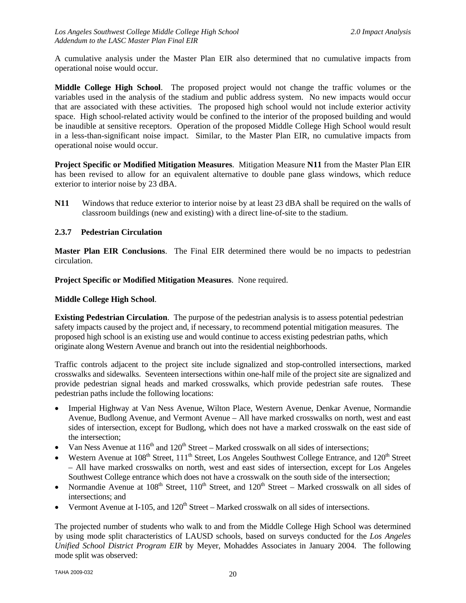A cumulative analysis under the Master Plan EIR also determined that no cumulative impacts from operational noise would occur.

**Middle College High School**. The proposed project would not change the traffic volumes or the variables used in the analysis of the stadium and public address system. No new impacts would occur that are associated with these activities. The proposed high school would not include exterior activity space. High school-related activity would be confined to the interior of the proposed building and would be inaudible at sensitive receptors. Operation of the proposed Middle College High School would result in a less-than-significant noise impact. Similar, to the Master Plan EIR, no cumulative impacts from operational noise would occur.

**Project Specific or Modified Mitigation Measures**. Mitigation Measure **N11** from the Master Plan EIR has been revised to allow for an equivalent alternative to double pane glass windows, which reduce exterior to interior noise by 23 dBA.

**N11** Windows that reduce exterior to interior noise by at least 23 dBA shall be required on the walls of classroom buildings (new and existing) with a direct line-of-site to the stadium.

#### **2.3.7 Pedestrian Circulation**

**Master Plan EIR Conclusions**. The Final EIR determined there would be no impacts to pedestrian circulation.

**Project Specific or Modified Mitigation Measures**. None required.

#### **Middle College High School**.

**Existing Pedestrian Circulation**. The purpose of the pedestrian analysis is to assess potential pedestrian safety impacts caused by the project and, if necessary, to recommend potential mitigation measures. The proposed high school is an existing use and would continue to access existing pedestrian paths, which originate along Western Avenue and branch out into the residential neighborhoods.

Traffic controls adjacent to the project site include signalized and stop-controlled intersections, marked crosswalks and sidewalks. Seventeen intersections within one-half mile of the project site are signalized and provide pedestrian signal heads and marked crosswalks, which provide pedestrian safe routes. These pedestrian paths include the following locations:

- Imperial Highway at Van Ness Avenue, Wilton Place, Western Avenue, Denkar Avenue, Normandie Avenue, Budlong Avenue, and Vermont Avenue – All have marked crosswalks on north, west and east sides of intersection, except for Budlong, which does not have a marked crosswalk on the east side of the intersection;
- Van Ness Avenue at  $116<sup>th</sup>$  and  $120<sup>th</sup>$  Street Marked crosswalk on all sides of intersections;
- Western Avenue at 108<sup>th</sup> Street, 111<sup>th</sup> Street, Los Angeles Southwest College Entrance, and 120<sup>th</sup> Street – All have marked crosswalks on north, west and east sides of intersection, except for Los Angeles Southwest College entrance which does not have a crosswalk on the south side of the intersection;
- Normandie Avenue at  $108<sup>th</sup>$  Street,  $110<sup>th</sup>$  Street, and  $120<sup>th</sup>$  Street Marked crosswalk on all sides of intersections; and
- Vermont Avenue at I-105, and  $120<sup>th</sup> Street Market crosswalk on all sides of intersections.$

The projected number of students who walk to and from the Middle College High School was determined by using mode split characteristics of LAUSD schools, based on surveys conducted for the *Los Angeles Unified School District Program EIR* by Meyer, Mohaddes Associates in January 2004. The following mode split was observed: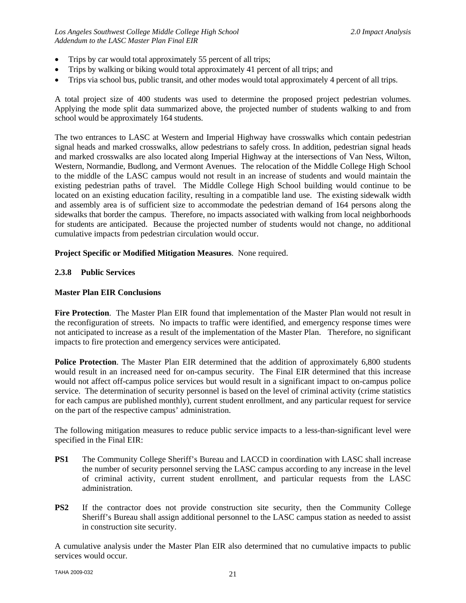- Trips by car would total approximately 55 percent of all trips;
- Trips by walking or biking would total approximately 41 percent of all trips; and
- Trips via school bus, public transit, and other modes would total approximately 4 percent of all trips.

A total project size of 400 students was used to determine the proposed project pedestrian volumes. Applying the mode split data summarized above, the projected number of students walking to and from school would be approximately 164 students.

The two entrances to LASC at Western and Imperial Highway have crosswalks which contain pedestrian signal heads and marked crosswalks, allow pedestrians to safely cross. In addition, pedestrian signal heads and marked crosswalks are also located along Imperial Highway at the intersections of Van Ness, Wilton, Western, Normandie, Budlong, and Vermont Avenues. The relocation of the Middle College High School to the middle of the LASC campus would not result in an increase of students and would maintain the existing pedestrian paths of travel. The Middle College High School building would continue to be located on an existing education facility, resulting in a compatible land use. The existing sidewalk width and assembly area is of sufficient size to accommodate the pedestrian demand of 164 persons along the sidewalks that border the campus. Therefore, no impacts associated with walking from local neighborhoods for students are anticipated. Because the projected number of students would not change, no additional cumulative impacts from pedestrian circulation would occur.

#### **Project Specific or Modified Mitigation Measures**. None required.

#### **2.3.8 Public Services**

#### **Master Plan EIR Conclusions**

**Fire Protection**. The Master Plan EIR found that implementation of the Master Plan would not result in the reconfiguration of streets. No impacts to traffic were identified, and emergency response times were not anticipated to increase as a result of the implementation of the Master Plan. Therefore, no significant impacts to fire protection and emergency services were anticipated.

**Police Protection**. The Master Plan EIR determined that the addition of approximately 6,800 students would result in an increased need for on-campus security. The Final EIR determined that this increase would not affect off-campus police services but would result in a significant impact to on-campus police service. The determination of security personnel is based on the level of criminal activity (crime statistics for each campus are published monthly), current student enrollment, and any particular request for service on the part of the respective campus' administration.

The following mitigation measures to reduce public service impacts to a less-than-significant level were specified in the Final EIR:

- **PS1** The Community College Sheriff's Bureau and LACCD in coordination with LASC shall increase the number of security personnel serving the LASC campus according to any increase in the level of criminal activity, current student enrollment, and particular requests from the LASC administration.
- **PS2** If the contractor does not provide construction site security, then the Community College Sheriff's Bureau shall assign additional personnel to the LASC campus station as needed to assist in construction site security.

A cumulative analysis under the Master Plan EIR also determined that no cumulative impacts to public services would occur.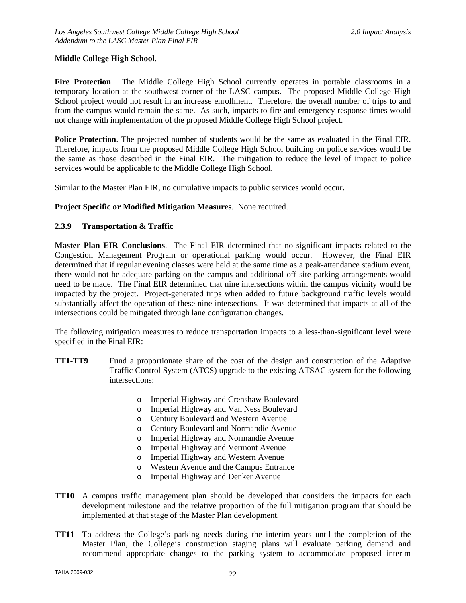#### **Middle College High School**.

**Fire Protection**. The Middle College High School currently operates in portable classrooms in a temporary location at the southwest corner of the LASC campus. The proposed Middle College High School project would not result in an increase enrollment. Therefore, the overall number of trips to and from the campus would remain the same. As such, impacts to fire and emergency response times would not change with implementation of the proposed Middle College High School project.

**Police Protection**. The projected number of students would be the same as evaluated in the Final EIR. Therefore, impacts from the proposed Middle College High School building on police services would be the same as those described in the Final EIR. The mitigation to reduce the level of impact to police services would be applicable to the Middle College High School.

Similar to the Master Plan EIR, no cumulative impacts to public services would occur.

#### **Project Specific or Modified Mitigation Measures**. None required.

#### **2.3.9 Transportation & Traffic**

**Master Plan EIR Conclusions**. The Final EIR determined that no significant impacts related to the Congestion Management Program or operational parking would occur. However, the Final EIR determined that if regular evening classes were held at the same time as a peak-attendance stadium event, there would not be adequate parking on the campus and additional off-site parking arrangements would need to be made. The Final EIR determined that nine intersections within the campus vicinity would be impacted by the project. Project-generated trips when added to future background traffic levels would substantially affect the operation of these nine intersections. It was determined that impacts at all of the intersections could be mitigated through lane configuration changes.

The following mitigation measures to reduce transportation impacts to a less-than-significant level were specified in the Final EIR:

- **TT1-TT9** Fund a proportionate share of the cost of the design and construction of the Adaptive Traffic Control System (ATCS) upgrade to the existing ATSAC system for the following intersections:
	- o Imperial Highway and Crenshaw Boulevard
	- o Imperial Highway and Van Ness Boulevard
	- o Century Boulevard and Western Avenue
	- o Century Boulevard and Normandie Avenue
	- o Imperial Highway and Normandie Avenue
	- o Imperial Highway and Vermont Avenue
	- o Imperial Highway and Western Avenue
	- o Western Avenue and the Campus Entrance
	- o Imperial Highway and Denker Avenue
- **TT10** A campus traffic management plan should be developed that considers the impacts for each development milestone and the relative proportion of the full mitigation program that should be implemented at that stage of the Master Plan development.
- **TT11** To address the College's parking needs during the interim years until the completion of the Master Plan, the College's construction staging plans will evaluate parking demand and recommend appropriate changes to the parking system to accommodate proposed interim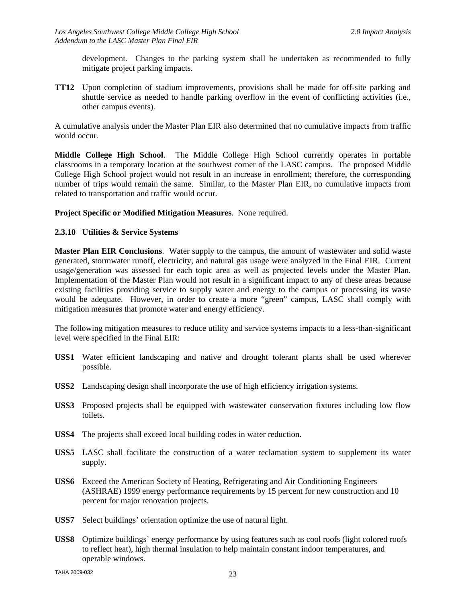development. Changes to the parking system shall be undertaken as recommended to fully mitigate project parking impacts.

**TT12** Upon completion of stadium improvements, provisions shall be made for off-site parking and shuttle service as needed to handle parking overflow in the event of conflicting activities (i.e., other campus events).

A cumulative analysis under the Master Plan EIR also determined that no cumulative impacts from traffic would occur.

**Middle College High School**. The Middle College High School currently operates in portable classrooms in a temporary location at the southwest corner of the LASC campus. The proposed Middle College High School project would not result in an increase in enrollment; therefore, the corresponding number of trips would remain the same. Similar, to the Master Plan EIR, no cumulative impacts from related to transportation and traffic would occur.

#### **Project Specific or Modified Mitigation Measures**. None required.

#### **2.3.10 Utilities & Service Systems**

**Master Plan EIR Conclusions**. Water supply to the campus, the amount of wastewater and solid waste generated, stormwater runoff, electricity, and natural gas usage were analyzed in the Final EIR. Current usage/generation was assessed for each topic area as well as projected levels under the Master Plan. Implementation of the Master Plan would not result in a significant impact to any of these areas because existing facilities providing service to supply water and energy to the campus or processing its waste would be adequate. However, in order to create a more "green" campus, LASC shall comply with mitigation measures that promote water and energy efficiency.

The following mitigation measures to reduce utility and service systems impacts to a less-than-significant level were specified in the Final EIR:

- **USS1** Water efficient landscaping and native and drought tolerant plants shall be used wherever possible.
- **USS2** Landscaping design shall incorporate the use of high efficiency irrigation systems.
- **USS3** Proposed projects shall be equipped with wastewater conservation fixtures including low flow toilets.
- **USS4** The projects shall exceed local building codes in water reduction.
- **USS5** LASC shall facilitate the construction of a water reclamation system to supplement its water supply.
- **USS6** Exceed the American Society of Heating, Refrigerating and Air Conditioning Engineers (ASHRAE) 1999 energy performance requirements by 15 percent for new construction and 10 percent for major renovation projects.
- **USS7** Select buildings' orientation optimize the use of natural light.
- **USS8** Optimize buildings' energy performance by using features such as cool roofs (light colored roofs to reflect heat), high thermal insulation to help maintain constant indoor temperatures, and operable windows.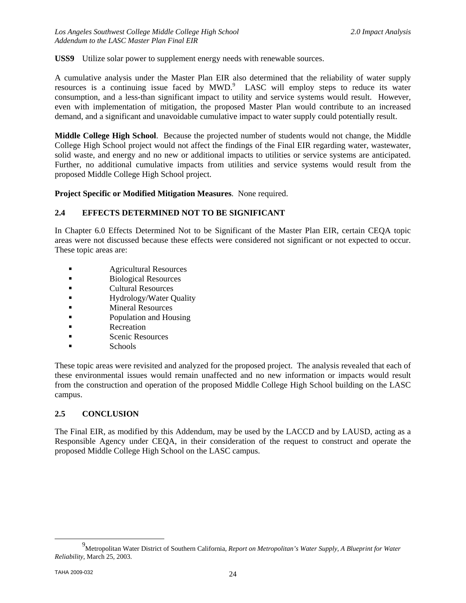**USS9** Utilize solar power to supplement energy needs with renewable sources.

A cumulative analysis under the Master Plan EIR also determined that the reliability of water supply resources is a continuing issue faced by  $MWD$ .<sup>9</sup> LASC will employ steps to reduce its water consumption, and a less-than significant impact to utility and service systems would result. However, even with implementation of mitigation, the proposed Master Plan would contribute to an increased demand, and a significant and unavoidable cumulative impact to water supply could potentially result.

**Middle College High School**. Because the projected number of students would not change, the Middle College High School project would not affect the findings of the Final EIR regarding water, wastewater, solid waste, and energy and no new or additional impacts to utilities or service systems are anticipated. Further, no additional cumulative impacts from utilities and service systems would result from the proposed Middle College High School project.

**Project Specific or Modified Mitigation Measures**. None required.

#### **2.4 EFFECTS DETERMINED NOT TO BE SIGNIFICANT**

In Chapter 6.0 Effects Determined Not to be Significant of the Master Plan EIR, certain CEQA topic areas were not discussed because these effects were considered not significant or not expected to occur. These topic areas are:

- **Agricultural Resources**
- Biological Resources
- Cultural Resources
- **Example 3** Hydrology/Water Quality
- **Example 21 Mineral Resources**
- **Population and Housing**
- **Recreation**
- Scenic Resources
- Schools

These topic areas were revisited and analyzed for the proposed project. The analysis revealed that each of these environmental issues would remain unaffected and no new information or impacts would result from the construction and operation of the proposed Middle College High School building on the LASC campus.

#### **2.5 CONCLUSION**

The Final EIR, as modified by this Addendum, may be used by the LACCD and by LAUSD, acting as a Responsible Agency under CEQA, in their consideration of the request to construct and operate the proposed Middle College High School on the LASC campus.

 <sup>9</sup> Metropolitan Water District of Southern California, *Report on Metropolitan's Water Supply, A Blueprint for Water Reliability*, March 25, 2003.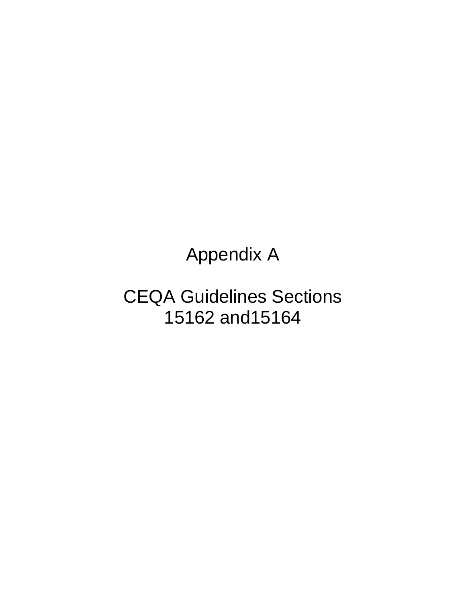Appendix A

CEQA Guidelines Sections 15162 and15164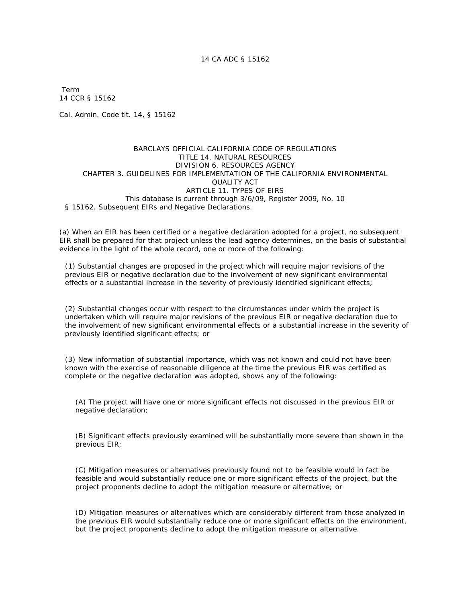Term 14 CCR § 15162

Cal. Admin. Code tit. 14, § 15162

#### BARCLAYS OFFICIAL CALIFORNIA CODE OF REGULATIONS TITLE 14. NATURAL RESOURCES DIVISION 6. RESOURCES AGENCY CHAPTER 3. GUIDELINES FOR IMPLEMENTATION OF THE CALIFORNIA ENVIRONMENTAL QUALITY ACT ARTICLE 11. TYPES OF EIRS This database is current through 3/6/09, Register 2009, No. 10 § 15162. Subsequent EIRs and Negative Declarations.

(a) When an EIR has been certified or a negative declaration adopted for a project, no subsequent EIR shall be prepared for that project unless the lead agency determines, on the basis of substantial evidence in the light of the whole record, one or more of the following:

(1) Substantial changes are proposed in the project which will require major revisions of the previous EIR or negative declaration due to the involvement of new significant environmental effects or a substantial increase in the severity of previously identified significant effects;

(2) Substantial changes occur with respect to the circumstances under which the project is undertaken which will require major revisions of the previous EIR or negative declaration due to the involvement of new significant environmental effects or a substantial increase in the severity of previously identified significant effects; or

(3) New information of substantial importance, which was not known and could not have been known with the exercise of reasonable diligence at the time the previous EIR was certified as complete or the negative declaration was adopted, shows any of the following:

 (A) The project will have one or more significant effects not discussed in the previous EIR or negative declaration;

 (B) Significant effects previously examined will be substantially more severe than shown in the previous EIR;

(C) Mitigation measures or alternatives previously found not to be feasible would in fact be feasible and would substantially reduce one or more significant effects of the project, but the project proponents decline to adopt the mitigation measure or alternative; or

(D) Mitigation measures or alternatives which are considerably different from those analyzed in the previous EIR would substantially reduce one or more significant effects on the environment, but the project proponents decline to adopt the mitigation measure or alternative.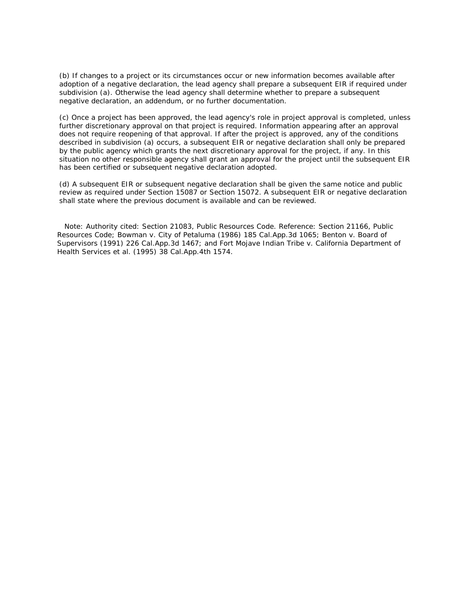(b) If changes to a project or its circumstances occur or new information becomes available after adoption of a negative declaration, the lead agency shall prepare a subsequent EIR if required under subdivision (a). Otherwise the lead agency shall determine whether to prepare a subsequent negative declaration, an addendum, or no further documentation.

(c) Once a project has been approved, the lead agency's role in project approval is completed, unless further discretionary approval on that project is required. Information appearing after an approval does not require reopening of that approval. If after the project is approved, any of the conditions described in subdivision (a) occurs, a subsequent EIR or negative declaration shall only be prepared by the public agency which grants the next discretionary approval for the project, if any. In this situation no other responsible agency shall grant an approval for the project until the subsequent EIR has been certified or subsequent negative declaration adopted.

(d) A subsequent EIR or subsequent negative declaration shall be given the same notice and public review as required under Section 15087 or Section 15072. A subsequent EIR or negative declaration shall state where the previous document is available and can be reviewed.

 Note: Authority cited: Section 21083, Public Resources Code. Reference: Section 21166, Public Resources Code; Bowman v. City of Petaluma (1986) 185 Cal.App.3d 1065; Benton v. Board of Supervisors (1991) 226 Cal.App.3d 1467; and Fort Mojave Indian Tribe v. California Department of Health Services et al. (1995) 38 Cal.App.4th 1574.